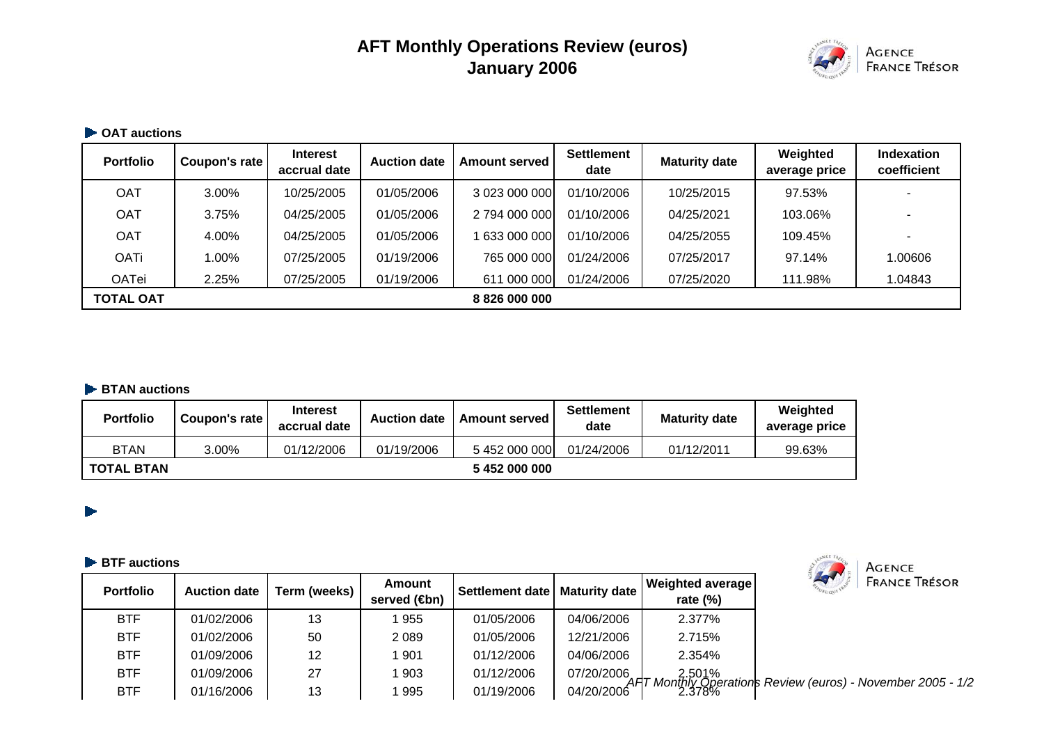# **AFT Monthly Operations Review (euros) January 2006**



#### **▶ OAT auctions**

| <b>Portfolio</b> | Coupon's rate | <b>Interest</b><br>accrual date | <b>Auction date</b> | <b>Amount served</b> | <b>Settlement</b><br>date | <b>Maturity date</b> | Weighted<br>average price | <b>Indexation</b><br>coefficient |
|------------------|---------------|---------------------------------|---------------------|----------------------|---------------------------|----------------------|---------------------------|----------------------------------|
| <b>OAT</b>       | 3.00%         | 10/25/2005                      | 01/05/2006          | 3 023 000 000        | 01/10/2006                | 10/25/2015           | 97.53%                    |                                  |
| <b>OAT</b>       | 3.75%         | 04/25/2005                      | 01/05/2006          | 2 794 000 000        | 01/10/2006                | 04/25/2021           | 103.06%                   |                                  |
| <b>OAT</b>       | 4.00%         | 04/25/2005                      | 01/05/2006          | 633 000 000          | 01/10/2006                | 04/25/2055           | 109.45%                   |                                  |
| <b>OATi</b>      | 1.00%         | 07/25/2005                      | 01/19/2006          | 765 000 000          | 01/24/2006                | 07/25/2017           | 97.14%                    | 1.00606                          |
| <b>OATei</b>     | 2.25%         | 07/25/2005                      | 01/19/2006          | 611 000 000          | 01/24/2006                | 07/25/2020           | 111.98%                   | 1.04843                          |
| <b>TOTAL OAT</b> |               |                                 |                     | 8 826 000 000        |                           |                      |                           |                                  |

#### **BTAN auctions**

| <b>Portfolio</b>  | Coupon's rate | <b>Interest</b><br>accrual date | <b>Auction date</b> | Amount served | <b>Settlement</b><br>date | <b>Maturity date</b> | Weighted<br>average price |
|-------------------|---------------|---------------------------------|---------------------|---------------|---------------------------|----------------------|---------------------------|
| <b>BTAN</b>       | $3.00\%$      | 01/12/2006                      | 01/19/2006          | 5452000000    | 01/24/2006                | 01/12/2011           | 99.63%                    |
| <b>TOTAL BTAN</b> |               |                                 |                     | 5452000000    |                           |                      |                           |

#### **BTF auctions**

 $\blacktriangleright$ 

| <b>Portfolio</b> | <b>Auction date</b> | Term (weeks) | Amount<br>served ( <b>⊕</b> n) | Settlement date | Maturity date | Weighted average<br>rate $(\%)$ | $\blacktriangleleft$<br><b>FRANCE TRÉSOR</b>                                                               |
|------------------|---------------------|--------------|--------------------------------|-----------------|---------------|---------------------------------|------------------------------------------------------------------------------------------------------------|
| <b>BTF</b>       | 01/02/2006          | 13           | 955                            | 01/05/2006      | 04/06/2006    | 2.377%                          |                                                                                                            |
| <b>BTF</b>       | 01/02/2006          | 50           | 2089                           | 01/05/2006      | 12/21/2006    | 2.715%                          |                                                                                                            |
| <b>BTF</b>       | 01/09/2006          | 12           | 901                            | 01/12/2006      | 04/06/2006    | 2.354%                          |                                                                                                            |
| <b>BTF</b>       | 01/09/2006          | 27           | 903                            | 01/12/2006      |               |                                 | 07/20/2006<br>04/20/2006 AHT Monthly Operations Review (euros) - November 2005 - 1/2<br>04/20/2006 12.378% |
| <b>BTF</b>       | 01/16/2006          | 13           | 995                            | 01/19/2006      |               |                                 |                                                                                                            |